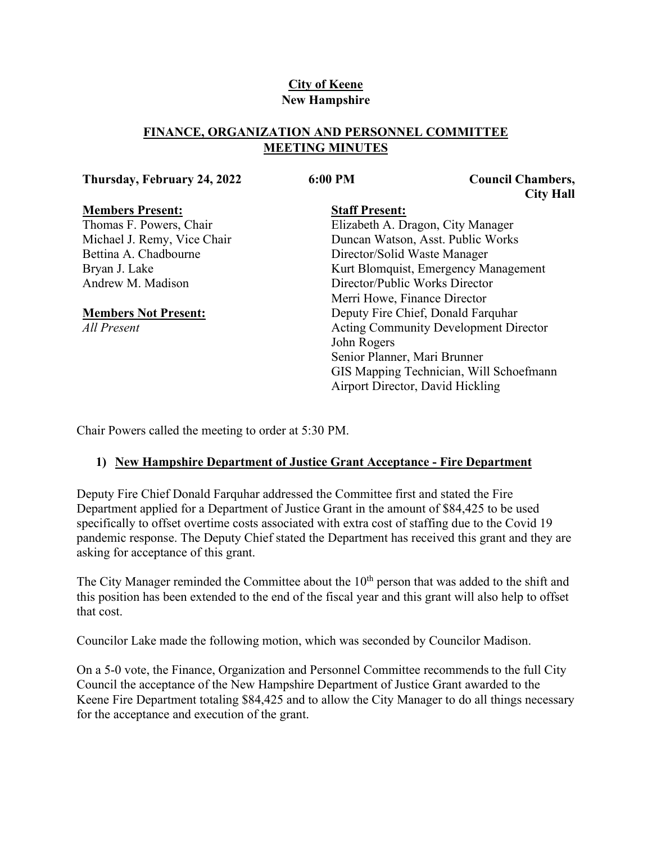# **City of Keene New Hampshire**

# **FINANCE, ORGANIZATION AND PERSONNEL COMMITTEE MEETING MINUTES**

### **Thursday, February 24, 2022 6:00 PM Council Chambers,**

**City Hall**

### **Members Present:**

Thomas F. Powers, Chair Michael J. Remy, Vice Chair Bettina A. Chadbourne Bryan J. Lake Andrew M. Madison

# **Members Not Present:**

*All Present*

# **Staff Present:**

Elizabeth A. Dragon, City Manager Duncan Watson, Asst. Public Works Director/Solid Waste Manager Kurt Blomquist, Emergency Management Director/Public Works Director Merri Howe, Finance Director Deputy Fire Chief, Donald Farquhar Acting Community Development Director John Rogers Senior Planner, Mari Brunner GIS Mapping Technician, Will Schoefmann Airport Director, David Hickling

Chair Powers called the meeting to order at 5:30 PM.

# **1) New Hampshire Department of Justice Grant Acceptance - Fire Department**

Deputy Fire Chief Donald Farquhar addressed the Committee first and stated the Fire Department applied for a Department of Justice Grant in the amount of \$84,425 to be used specifically to offset overtime costs associated with extra cost of staffing due to the Covid 19 pandemic response. The Deputy Chief stated the Department has received this grant and they are asking for acceptance of this grant.

The City Manager reminded the Committee about the  $10<sup>th</sup>$  person that was added to the shift and this position has been extended to the end of the fiscal year and this grant will also help to offset that cost.

Councilor Lake made the following motion, which was seconded by Councilor Madison.

On a 5-0 vote, the Finance, Organization and Personnel Committee recommends to the full City Council the acceptance of the New Hampshire Department of Justice Grant awarded to the Keene Fire Department totaling \$84,425 and to allow the City Manager to do all things necessary for the acceptance and execution of the grant.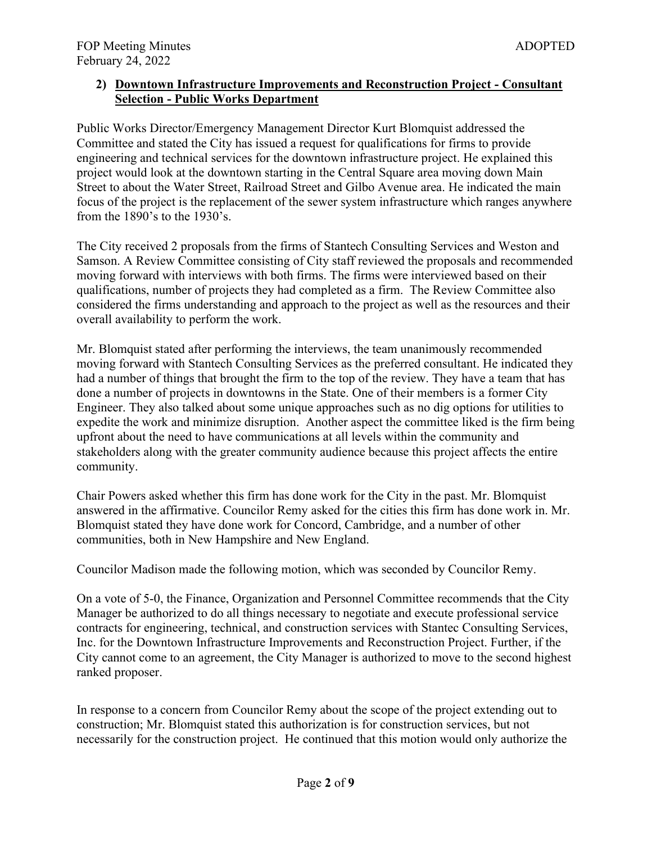# **2) Downtown Infrastructure Improvements and Reconstruction Project - Consultant Selection - Public Works Department**

Public Works Director/Emergency Management Director Kurt Blomquist addressed the Committee and stated the City has issued a request for qualifications for firms to provide engineering and technical services for the downtown infrastructure project. He explained this project would look at the downtown starting in the Central Square area moving down Main Street to about the Water Street, Railroad Street and Gilbo Avenue area. He indicated the main focus of the project is the replacement of the sewer system infrastructure which ranges anywhere from the 1890's to the 1930's.

The City received 2 proposals from the firms of Stantech Consulting Services and Weston and Samson. A Review Committee consisting of City staff reviewed the proposals and recommended moving forward with interviews with both firms. The firms were interviewed based on their qualifications, number of projects they had completed as a firm. The Review Committee also considered the firms understanding and approach to the project as well as the resources and their overall availability to perform the work.

Mr. Blomquist stated after performing the interviews, the team unanimously recommended moving forward with Stantech Consulting Services as the preferred consultant. He indicated they had a number of things that brought the firm to the top of the review. They have a team that has done a number of projects in downtowns in the State. One of their members is a former City Engineer. They also talked about some unique approaches such as no dig options for utilities to expedite the work and minimize disruption. Another aspect the committee liked is the firm being upfront about the need to have communications at all levels within the community and stakeholders along with the greater community audience because this project affects the entire community.

Chair Powers asked whether this firm has done work for the City in the past. Mr. Blomquist answered in the affirmative. Councilor Remy asked for the cities this firm has done work in. Mr. Blomquist stated they have done work for Concord, Cambridge, and a number of other communities, both in New Hampshire and New England.

Councilor Madison made the following motion, which was seconded by Councilor Remy.

On a vote of 5-0, the Finance, Organization and Personnel Committee recommends that the City Manager be authorized to do all things necessary to negotiate and execute professional service contracts for engineering, technical, and construction services with Stantec Consulting Services, Inc. for the Downtown Infrastructure Improvements and Reconstruction Project. Further, if the City cannot come to an agreement, the City Manager is authorized to move to the second highest ranked proposer.

In response to a concern from Councilor Remy about the scope of the project extending out to construction; Mr. Blomquist stated this authorization is for construction services, but not necessarily for the construction project. He continued that this motion would only authorize the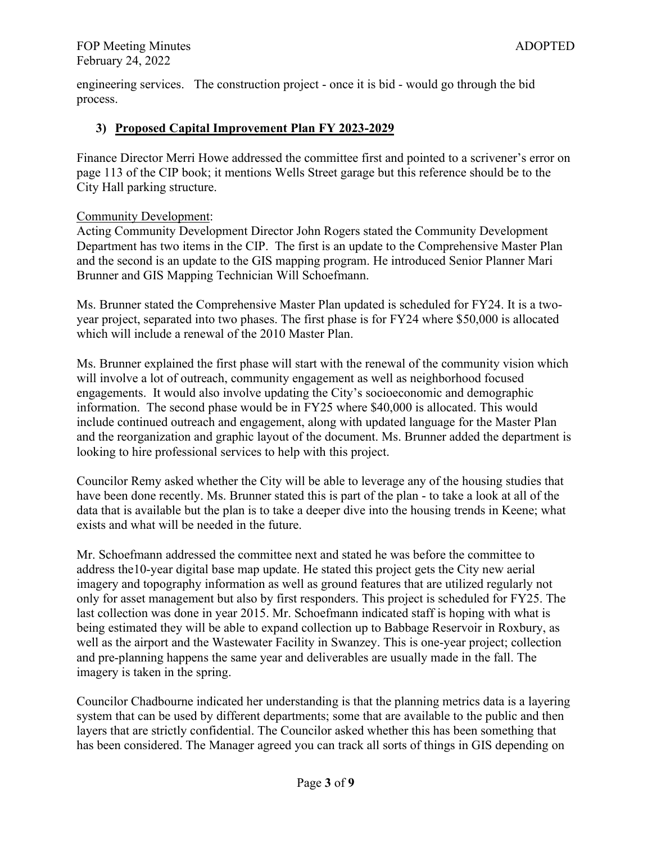engineering services. The construction project - once it is bid - would go through the bid process.

## **3) Proposed Capital Improvement Plan FY 2023-2029**

Finance Director Merri Howe addressed the committee first and pointed to a scrivener's error on page 113 of the CIP book; it mentions Wells Street garage but this reference should be to the City Hall parking structure.

### Community Development:

Acting Community Development Director John Rogers stated the Community Development Department has two items in the CIP. The first is an update to the Comprehensive Master Plan and the second is an update to the GIS mapping program. He introduced Senior Planner Mari Brunner and GIS Mapping Technician Will Schoefmann.

Ms. Brunner stated the Comprehensive Master Plan updated is scheduled for FY24. It is a twoyear project, separated into two phases. The first phase is for FY24 where \$50,000 is allocated which will include a renewal of the 2010 Master Plan.

Ms. Brunner explained the first phase will start with the renewal of the community vision which will involve a lot of outreach, community engagement as well as neighborhood focused engagements. It would also involve updating the City's socioeconomic and demographic information. The second phase would be in FY25 where \$40,000 is allocated. This would include continued outreach and engagement, along with updated language for the Master Plan and the reorganization and graphic layout of the document. Ms. Brunner added the department is looking to hire professional services to help with this project.

Councilor Remy asked whether the City will be able to leverage any of the housing studies that have been done recently. Ms. Brunner stated this is part of the plan - to take a look at all of the data that is available but the plan is to take a deeper dive into the housing trends in Keene; what exists and what will be needed in the future.

Mr. Schoefmann addressed the committee next and stated he was before the committee to address the10-year digital base map update. He stated this project gets the City new aerial imagery and topography information as well as ground features that are utilized regularly not only for asset management but also by first responders. This project is scheduled for FY25. The last collection was done in year 2015. Mr. Schoefmann indicated staff is hoping with what is being estimated they will be able to expand collection up to Babbage Reservoir in Roxbury, as well as the airport and the Wastewater Facility in Swanzey. This is one-year project; collection and pre-planning happens the same year and deliverables are usually made in the fall. The imagery is taken in the spring.

Councilor Chadbourne indicated her understanding is that the planning metrics data is a layering system that can be used by different departments; some that are available to the public and then layers that are strictly confidential. The Councilor asked whether this has been something that has been considered. The Manager agreed you can track all sorts of things in GIS depending on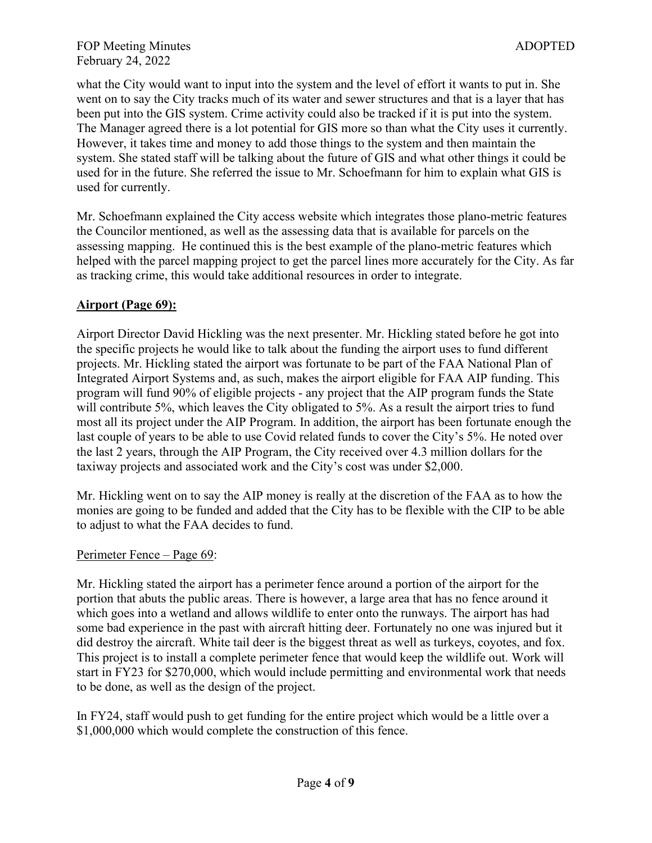what the City would want to input into the system and the level of effort it wants to put in. She went on to say the City tracks much of its water and sewer structures and that is a layer that has been put into the GIS system. Crime activity could also be tracked if it is put into the system. The Manager agreed there is a lot potential for GIS more so than what the City uses it currently. However, it takes time and money to add those things to the system and then maintain the system. She stated staff will be talking about the future of GIS and what other things it could be used for in the future. She referred the issue to Mr. Schoefmann for him to explain what GIS is used for currently.

Mr. Schoefmann explained the City access website which integrates those plano-metric features the Councilor mentioned, as well as the assessing data that is available for parcels on the assessing mapping. He continued this is the best example of the plano-metric features which helped with the parcel mapping project to get the parcel lines more accurately for the City. As far as tracking crime, this would take additional resources in order to integrate.

# **Airport (Page 69):**

Airport Director David Hickling was the next presenter. Mr. Hickling stated before he got into the specific projects he would like to talk about the funding the airport uses to fund different projects. Mr. Hickling stated the airport was fortunate to be part of the FAA National Plan of Integrated Airport Systems and, as such, makes the airport eligible for FAA AIP funding. This program will fund 90% of eligible projects - any project that the AIP program funds the State will contribute 5%, which leaves the City obligated to 5%. As a result the airport tries to fund most all its project under the AIP Program. In addition, the airport has been fortunate enough the last couple of years to be able to use Covid related funds to cover the City's 5%. He noted over the last 2 years, through the AIP Program, the City received over 4.3 million dollars for the taxiway projects and associated work and the City's cost was under \$2,000.

Mr. Hickling went on to say the AIP money is really at the discretion of the FAA as to how the monies are going to be funded and added that the City has to be flexible with the CIP to be able to adjust to what the FAA decides to fund.

# Perimeter Fence – Page 69:

Mr. Hickling stated the airport has a perimeter fence around a portion of the airport for the portion that abuts the public areas. There is however, a large area that has no fence around it which goes into a wetland and allows wildlife to enter onto the runways. The airport has had some bad experience in the past with aircraft hitting deer. Fortunately no one was injured but it did destroy the aircraft. White tail deer is the biggest threat as well as turkeys, coyotes, and fox. This project is to install a complete perimeter fence that would keep the wildlife out. Work will start in FY23 for \$270,000, which would include permitting and environmental work that needs to be done, as well as the design of the project.

In FY24, staff would push to get funding for the entire project which would be a little over a \$1,000,000 which would complete the construction of this fence.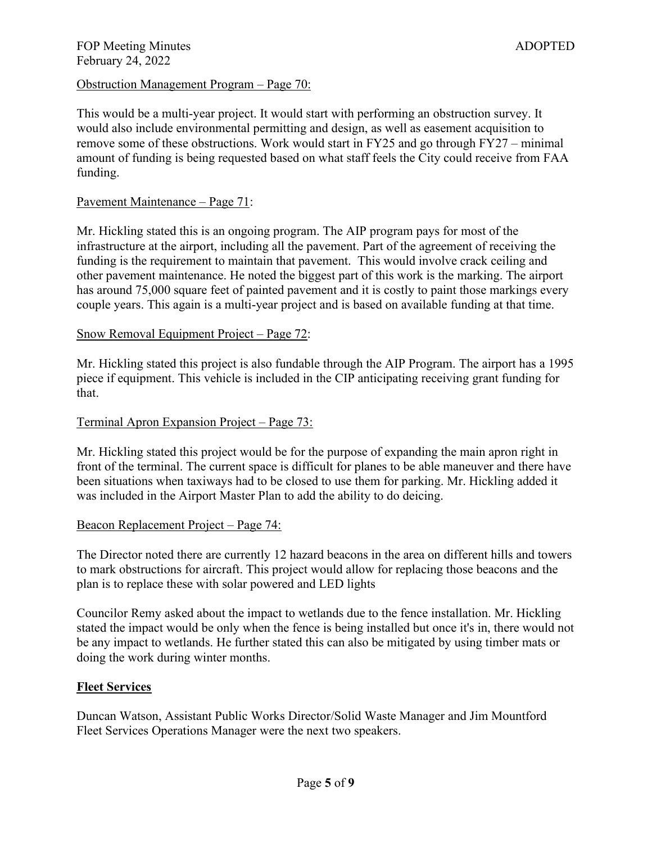### Obstruction Management Program – Page 70:

This would be a multi-year project. It would start with performing an obstruction survey. It would also include environmental permitting and design, as well as easement acquisition to remove some of these obstructions. Work would start in FY25 and go through FY27 – minimal amount of funding is being requested based on what staff feels the City could receive from FAA funding.

### Pavement Maintenance – Page 71:

Mr. Hickling stated this is an ongoing program. The AIP program pays for most of the infrastructure at the airport, including all the pavement. Part of the agreement of receiving the funding is the requirement to maintain that pavement. This would involve crack ceiling and other pavement maintenance. He noted the biggest part of this work is the marking. The airport has around 75,000 square feet of painted pavement and it is costly to paint those markings every couple years. This again is a multi-year project and is based on available funding at that time.

### Snow Removal Equipment Project – Page 72:

Mr. Hickling stated this project is also fundable through the AIP Program. The airport has a 1995 piece if equipment. This vehicle is included in the CIP anticipating receiving grant funding for that.

#### Terminal Apron Expansion Project – Page 73:

Mr. Hickling stated this project would be for the purpose of expanding the main apron right in front of the terminal. The current space is difficult for planes to be able maneuver and there have been situations when taxiways had to be closed to use them for parking. Mr. Hickling added it was included in the Airport Master Plan to add the ability to do deicing.

#### Beacon Replacement Project – Page 74:

The Director noted there are currently 12 hazard beacons in the area on different hills and towers to mark obstructions for aircraft. This project would allow for replacing those beacons and the plan is to replace these with solar powered and LED lights

Councilor Remy asked about the impact to wetlands due to the fence installation. Mr. Hickling stated the impact would be only when the fence is being installed but once it's in, there would not be any impact to wetlands. He further stated this can also be mitigated by using timber mats or doing the work during winter months.

#### **Fleet Services**

Duncan Watson, Assistant Public Works Director/Solid Waste Manager and Jim Mountford Fleet Services Operations Manager were the next two speakers.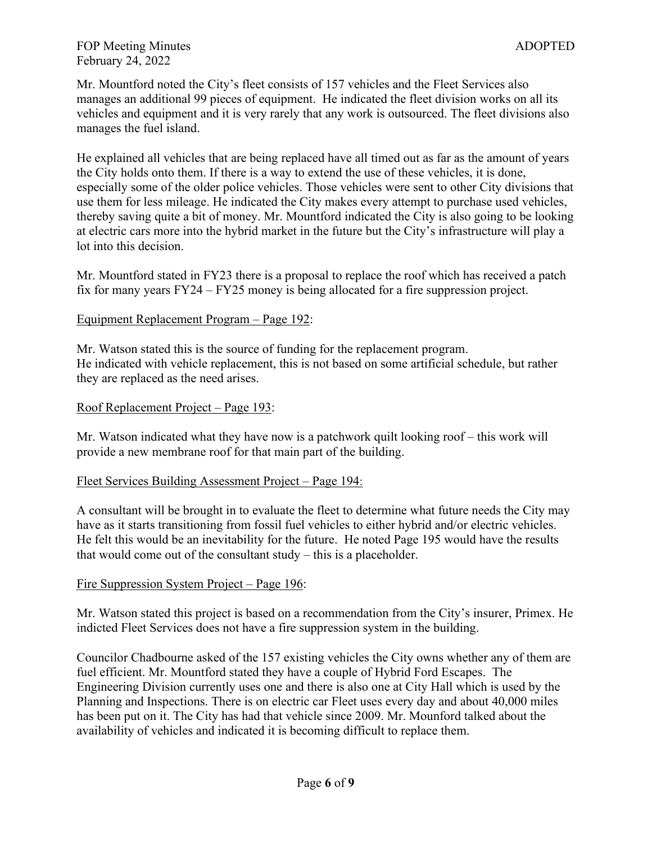Mr. Mountford noted the City's fleet consists of 157 vehicles and the Fleet Services also manages an additional 99 pieces of equipment. He indicated the fleet division works on all its vehicles and equipment and it is very rarely that any work is outsourced. The fleet divisions also manages the fuel island.

He explained all vehicles that are being replaced have all timed out as far as the amount of years the City holds onto them. If there is a way to extend the use of these vehicles, it is done, especially some of the older police vehicles. Those vehicles were sent to other City divisions that use them for less mileage. He indicated the City makes every attempt to purchase used vehicles, thereby saving quite a bit of money. Mr. Mountford indicated the City is also going to be looking at electric cars more into the hybrid market in the future but the City's infrastructure will play a lot into this decision.

Mr. Mountford stated in FY23 there is a proposal to replace the roof which has received a patch fix for many years FY24 – FY25 money is being allocated for a fire suppression project.

### Equipment Replacement Program – Page 192:

Mr. Watson stated this is the source of funding for the replacement program. He indicated with vehicle replacement, this is not based on some artificial schedule, but rather they are replaced as the need arises.

### Roof Replacement Project – Page 193:

Mr. Watson indicated what they have now is a patchwork quilt looking roof – this work will provide a new membrane roof for that main part of the building.

### Fleet Services Building Assessment Project – Page 194:

A consultant will be brought in to evaluate the fleet to determine what future needs the City may have as it starts transitioning from fossil fuel vehicles to either hybrid and/or electric vehicles. He felt this would be an inevitability for the future. He noted Page 195 would have the results that would come out of the consultant study – this is a placeholder.

# Fire Suppression System Project – Page 196:

Mr. Watson stated this project is based on a recommendation from the City's insurer, Primex. He indicted Fleet Services does not have a fire suppression system in the building.

Councilor Chadbourne asked of the 157 existing vehicles the City owns whether any of them are fuel efficient. Mr. Mountford stated they have a couple of Hybrid Ford Escapes. The Engineering Division currently uses one and there is also one at City Hall which is used by the Planning and Inspections. There is on electric car Fleet uses every day and about 40,000 miles has been put on it. The City has had that vehicle since 2009. Mr. Mounford talked about the availability of vehicles and indicated it is becoming difficult to replace them.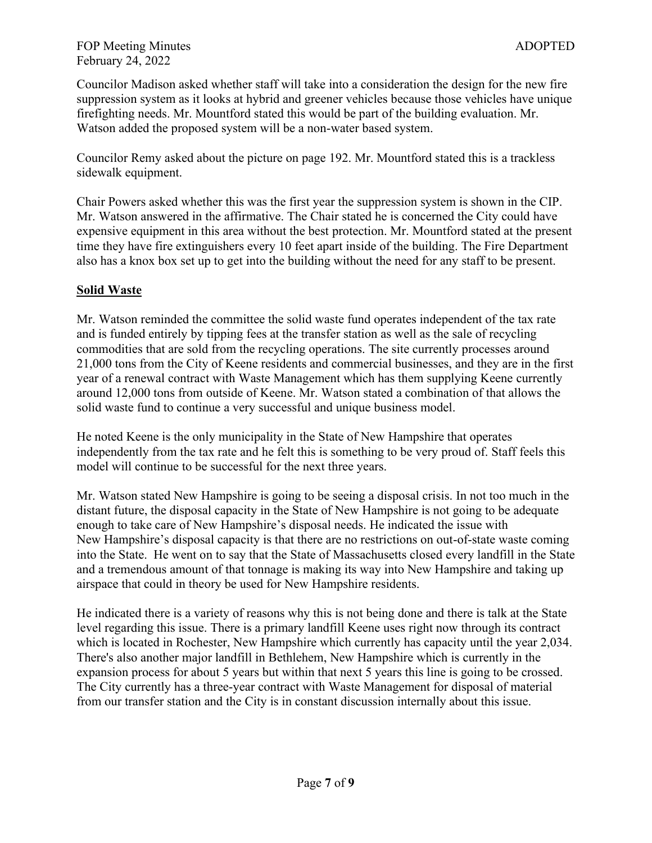### FOP Meeting Minutes ADOPTED February 24, 2022

Councilor Madison asked whether staff will take into a consideration the design for the new fire suppression system as it looks at hybrid and greener vehicles because those vehicles have unique firefighting needs. Mr. Mountford stated this would be part of the building evaluation. Mr. Watson added the proposed system will be a non-water based system.

Councilor Remy asked about the picture on page 192. Mr. Mountford stated this is a trackless sidewalk equipment.

Chair Powers asked whether this was the first year the suppression system is shown in the CIP. Mr. Watson answered in the affirmative. The Chair stated he is concerned the City could have expensive equipment in this area without the best protection. Mr. Mountford stated at the present time they have fire extinguishers every 10 feet apart inside of the building. The Fire Department also has a knox box set up to get into the building without the need for any staff to be present.

# **Solid Waste**

Mr. Watson reminded the committee the solid waste fund operates independent of the tax rate and is funded entirely by tipping fees at the transfer station as well as the sale of recycling commodities that are sold from the recycling operations. The site currently processes around 21,000 tons from the City of Keene residents and commercial businesses, and they are in the first year of a renewal contract with Waste Management which has them supplying Keene currently around 12,000 tons from outside of Keene. Mr. Watson stated a combination of that allows the solid waste fund to continue a very successful and unique business model.

He noted Keene is the only municipality in the State of New Hampshire that operates independently from the tax rate and he felt this is something to be very proud of. Staff feels this model will continue to be successful for the next three years.

Mr. Watson stated New Hampshire is going to be seeing a disposal crisis. In not too much in the distant future, the disposal capacity in the State of New Hampshire is not going to be adequate enough to take care of New Hampshire's disposal needs. He indicated the issue with New Hampshire's disposal capacity is that there are no restrictions on out-of-state waste coming into the State. He went on to say that the State of Massachusetts closed every landfill in the State and a tremendous amount of that tonnage is making its way into New Hampshire and taking up airspace that could in theory be used for New Hampshire residents.

He indicated there is a variety of reasons why this is not being done and there is talk at the State level regarding this issue. There is a primary landfill Keene uses right now through its contract which is located in Rochester, New Hampshire which currently has capacity until the year 2,034. There's also another major landfill in Bethlehem, New Hampshire which is currently in the expansion process for about 5 years but within that next 5 years this line is going to be crossed. The City currently has a three-year contract with Waste Management for disposal of material from our transfer station and the City is in constant discussion internally about this issue.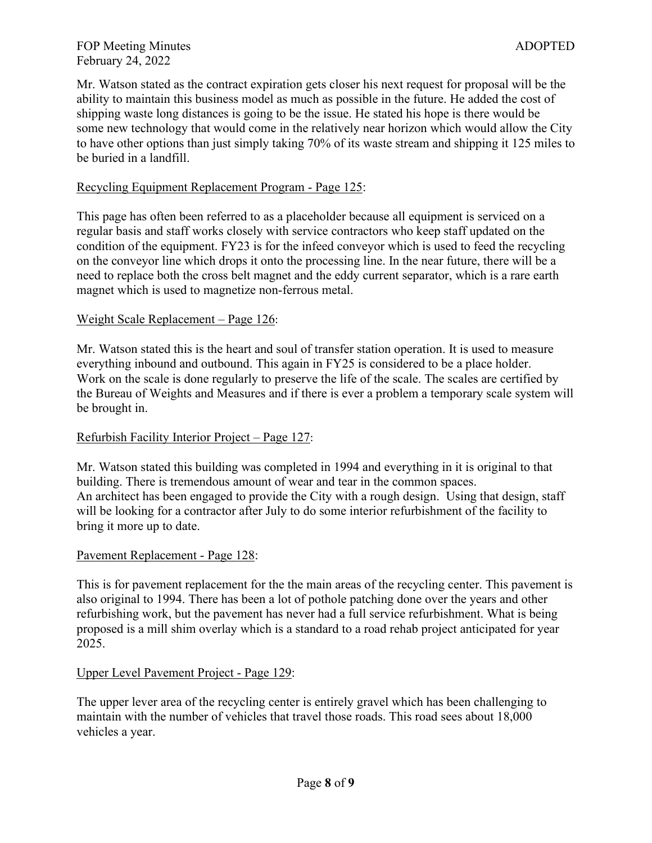Mr. Watson stated as the contract expiration gets closer his next request for proposal will be the ability to maintain this business model as much as possible in the future. He added the cost of shipping waste long distances is going to be the issue. He stated his hope is there would be some new technology that would come in the relatively near horizon which would allow the City to have other options than just simply taking 70% of its waste stream and shipping it 125 miles to be buried in a landfill.

# Recycling Equipment Replacement Program - Page 125:

This page has often been referred to as a placeholder because all equipment is serviced on a regular basis and staff works closely with service contractors who keep staff updated on the condition of the equipment. FY23 is for the infeed conveyor which is used to feed the recycling on the conveyor line which drops it onto the processing line. In the near future, there will be a need to replace both the cross belt magnet and the eddy current separator, which is a rare earth magnet which is used to magnetize non-ferrous metal.

### Weight Scale Replacement – Page 126:

Mr. Watson stated this is the heart and soul of transfer station operation. It is used to measure everything inbound and outbound. This again in FY25 is considered to be a place holder. Work on the scale is done regularly to preserve the life of the scale. The scales are certified by the Bureau of Weights and Measures and if there is ever a problem a temporary scale system will be brought in.

# Refurbish Facility Interior Project – Page 127:

Mr. Watson stated this building was completed in 1994 and everything in it is original to that building. There is tremendous amount of wear and tear in the common spaces. An architect has been engaged to provide the City with a rough design. Using that design, staff will be looking for a contractor after July to do some interior refurbishment of the facility to bring it more up to date.

### Pavement Replacement - Page 128:

This is for pavement replacement for the the main areas of the recycling center. This pavement is also original to 1994. There has been a lot of pothole patching done over the years and other refurbishing work, but the pavement has never had a full service refurbishment. What is being proposed is a mill shim overlay which is a standard to a road rehab project anticipated for year 2025.

### Upper Level Pavement Project - Page 129:

The upper lever area of the recycling center is entirely gravel which has been challenging to maintain with the number of vehicles that travel those roads. This road sees about 18,000 vehicles a year.